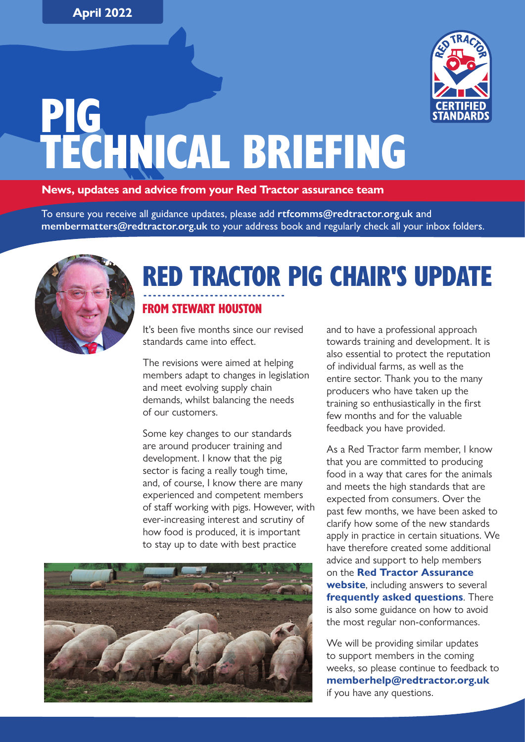

# PIG TECHNICAL BRIEFING

#### **News, updates and advice from your Red Tractor assurance team**

To ensure you receive all guidance updates, please add **[rtfcomms@redtractor.org.uk](mailto:rtfcomms%40redtractor.org.uk?subject=) a**nd **[membermatters@redtractor.org.uk](mailto:membermatters%40redtractor.org.uk?subject=)** to your address book and regularly check all your inbox folders.



#### ------------------------------ RED TRACTOR PIG CHAIR'S UPDATE

#### FROM STEWART HOUSTON

It's been five months since our revised standards came into effect.

The revisions were aimed at helping members adapt to changes in legislation and meet evolving supply chain demands, whilst balancing the needs of our customers.

Some key changes to our standards are around producer training and development. I know that the pig sector is facing a really tough time, and, of course, I know there are many experienced and competent members of staff working with pigs. However, with ever-increasing interest and scrutiny of how food is produced, it is important to stay up to date with best practice



and to have a professional approach towards training and development. It is also essential to protect the reputation of individual farms, as well as the entire sector. Thank you to the many producers who have taken up the training so enthusiastically in the first few months and for the valuable feedback you have provided.

As a Red Tractor farm member, I know that you are committed to producing food in a way that cares for the animals and meets the high standards that are expected from consumers. Over the past few months, we have been asked to clarify how some of the new standards apply in practice in certain situations. We have therefore created some additional advice and support to help members on the **[Red Tractor Assurance](https://redtractorassurance.org.uk/about-red-tractor/additional-clarification-on-revised-pig-standards/)  [website](https://redtractorassurance.org.uk/about-red-tractor/additional-clarification-on-revised-pig-standards/)**, including answers to several **[frequently asked questions](https://redtractorassurance.org.uk/frequently-asked-questions/)**. There is also some guidance on how to avoid the most regular non-conformances.

We will be providing similar updates to support members in the coming weeks, so please continue to feedback to **[memberhelp@redtractor.org.uk](mailto:memberhelp%40redtractor.org.uk?subject=)** if you have any questions.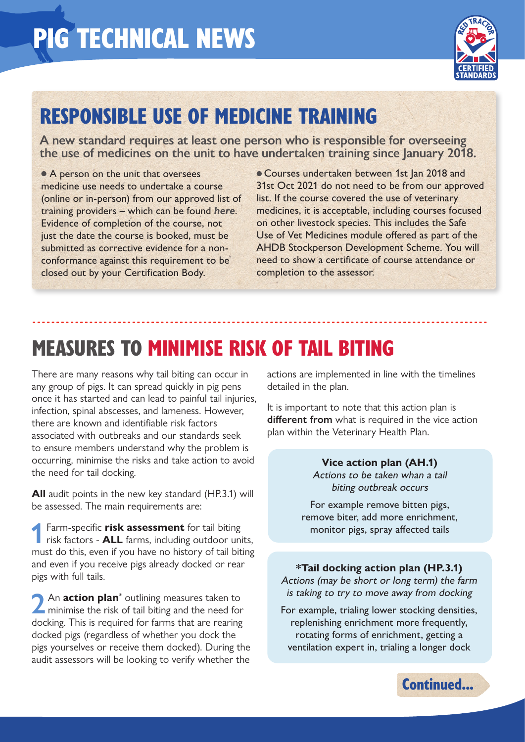

## RESPONSIBLE USE OF MEDICINE TRAINING

**A new standard requires at least one person who is responsible for overseeing the use of medicines on the unit to have undertaken training since January 2018.**

------------------------------------------------------------------------------------------------

• A person on the unit that oversees medicine use needs to undertake a course (online or in-person) from our approved list of training providers – which can be found *here*. Evidence of completion of the course, not just the date the course is booked, must be submitted as corrective evidence for a nonconformance against this requirement to be closed out by your Certification Body.

**Courses undertaken between 1st Jan 2018 and** 31st Oct 2021 do not need to be from our approved list. If the course covered the use of veterinary medicines, it is acceptable, including courses focused on other livestock species. This includes the Safe Use of Vet Medicines module offered as part of the AHDB Stockperson Development Scheme. You will need to show a certificate of course attendance or completion to the assessor.

## MEASURES TO MINIMISE RISK OF TAIL BITING

There are many reasons why tail biting can occur in any group of pigs. It can spread quickly in pig pens once it has started and can lead to painful tail injuries, infection, spinal abscesses, and lameness. However, there are known and identifiable risk factors associated with outbreaks and our standards seek to ensure members understand why the problem is occurring, minimise the risks and take action to avoid the need for tail docking.

**All** audit points in the new key standard (HP.3.1) will be assessed. The main requirements are:

**1**Farm-specific **risk assessment** for tail biting risk factors - **ALL** farms, including outdoor units, must do this, even if you have no history of tail biting and even if you receive pigs already docked or rear pigs with full tails.

**2** An **action plan**<sup>\*</sup> outlining measures taken to minimise the risk of tail biting and the need for An **action plan**<sup>\*</sup> outlining measures taken to docking. This is required for farms that are rearing docked pigs (regardless of whether you dock the pigs yourselves or receive them docked). During the audit assessors will be looking to verify whether the

actions are implemented in line with the timelines detailed in the plan.

It is important to note that this action plan is **different from** what is required in the vice action plan within the Veterinary Health Plan.

> **Vice action plan (AH.1)** Actions to be taken whan a tail biting outbreak occurs

For example remove bitten pigs, remove biter, add more enrichment, monitor pigs, spray affected tails

**\*Tail docking action plan (HP.3.1)** Actions (may be short or long term) the farm is taking to try to move away from docking

For example, trialing lower stocking densities, replenishing enrichment more frequently, rotating forms of enrichment, getting a ventilation expert in, trialing a longer dock